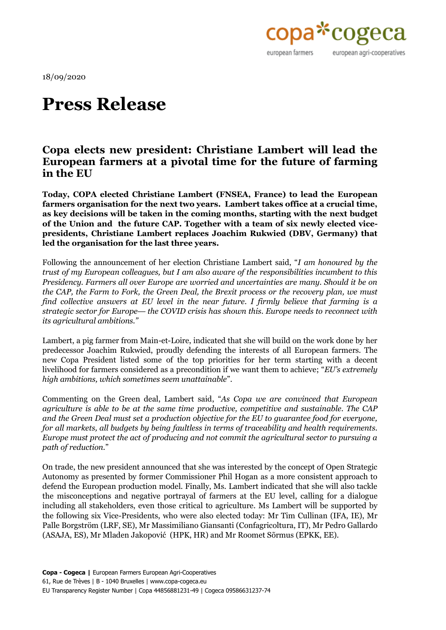

18/09/2020

## **Press Release**

## **Copa elects new president: Christiane Lambert will lead the European farmers at a pivotal time for the future of farming in the EU**

**Today, COPA elected Christiane Lambert (FNSEA, France) to lead the European farmers organisation for the next two years. Lambert takes office at a crucial time, as key decisions will be taken in the coming months, starting with the next budget of the Union and the future CAP. Together with a team of six newly elected vicepresidents, Christiane Lambert replaces Joachim Rukwied (DBV, Germany) that led the organisation for the last three years.**

Following the announcement of her election Christiane Lambert said, "*I am honoured by the trust of my European colleagues, but I am also aware of the responsibilities incumbent to this Presidency. Farmers all over Europe are worried and uncertainties are many. Should it be on the CAP, the Farm to Fork, the Green Deal, the Brexit process or the recovery plan, we must find collective answers at EU level in the near future. I firmly believe that farming is a strategic sector for Europe— the COVID crisis has shown this. Europe needs to reconnect with its agricultural ambitions."*

Lambert, a pig farmer from Main-et-Loire, indicated that she will build on the work done by her predecessor Joachim Rukwied, proudly defending the interests of all European farmers. The new Copa President listed some of the top priorities for her term starting with a decent livelihood for farmers considered as a precondition if we want them to achieve; "*EU's extremely high ambitions, which sometimes seem unattainable*".

Commenting on the Green deal, Lambert said, "*As Copa we are convinced that European agriculture is able to be at the same time productive, competitive and sustainable. The CAP and the Green Deal must set a production objective for the EU to guarantee food for everyone, for all markets, all budgets by being faultless in terms of traceability and health requirements. Europe must protect the act of producing and not commit the agricultural sector to pursuing a path of reduction.*"

On trade, the new president announced that she was interested by the concept of Open Strategic Autonomy as presented by former Commissioner Phil Hogan as a more consistent approach to defend the European production model. Finally, Ms. Lambert indicated that she will also tackle the misconceptions and negative portrayal of farmers at the EU level, calling for a dialogue including all stakeholders, even those critical to agriculture. Ms Lambert will be supported by the following six Vice-Presidents, who were also elected today: Mr Tim Cullinan (IFA, IE), Mr Palle Borgström (LRF, SE), Mr Massimiliano Giansanti (Confagricoltura, IT), Mr Pedro Gallardo (ASAJA, ES), Mr Mladen Jakopović (HPK, HR) and Mr Roomet Sõrmus (EPKK, EE).